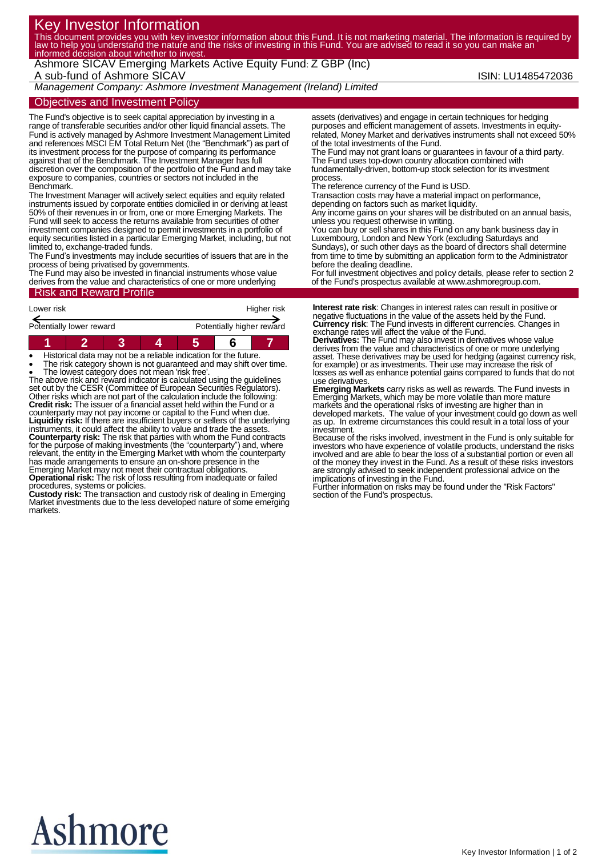# Key Investor Information

This document provides you with key investor information about this Fund. It is not marketing material. The information is required by law to help you understand the nature and the risks of investing in this Fund. You are advised to read it so you can make an informed decision about whether to invest.

Ashmore SICAV Emerging Markets Active Equity Fund: Z GBP (Inc) A sub-fund of Ashmore SICAV **ISIN: LU1485472036** 

*Management Company: Ashmore Investment Management (Ireland) Limited*

Objectives and Investment Policy

The Fund's objective is to seek capital appreciation by investing in a range of transferable securities and/or other liquid financial assets. The Fund is actively managed by Ashmore Investment Management Limited and references MSCI EM Total Return Net (the "Benchmark") as part of its investment process for the purpose of comparing its performance against that of the Benchmark. The Investment Manager has full discretion over the composition of the portfolio of the Fund and may take exposure to companies, countries or sectors not included in the Benchmark.

The Investment Manager will actively select equities and equity related instruments issued by corporate entities domiciled in or deriving at least 50% of their revenues in or from, one or more Emerging Markets. The Fund will seek to access the returns available from securities of other investment companies designed to permit investments in a portfolio of equity securities listed in a particular Emerging Market, including, but not limited to, exchange-traded funds.

The Fund's investments may include securities of issuers that are in the process of being privatised by governments.

The Fund may also be invested in financial instruments whose value derives from the value and characteristics of one or more underlying

## Risk and Reward Profile

| Lower risk               |  |  |  | Higher risk               |  |  |
|--------------------------|--|--|--|---------------------------|--|--|
| Potentially lower reward |  |  |  | Potentially higher reward |  |  |
|                          |  |  |  |                           |  |  |

Historical data may not be a reliable indication for the future.

 The risk category shown is not guaranteed and may shift over time. The lowest category does not mean 'risk free'. The above risk and reward indicator is calculated using the guidelines set out by the CESR (Committee of European Securities Regulators). Other risks which are not part of the calculation include the following: **Credit risk:** The issuer of a financial asset held within the Fund or a counterparty may not pay income or capital to the Fund when due. **Liquidity risk:** If there are insufficient buyers or sellers of the underlying instruments, it could affect the ability to value and trade the assets. **Counterparty risk:** The risk that parties with whom the Fund contracts for the purpose of making investments (the "counterparty") and, where relevant, the entity in the Emerging Market with whom the counterparty has made arrangements to ensure an on-shore presence in the Emerging Market may not meet their contractual obligations. **Operational risk:** The risk of loss resulting from inadequate or failed

procedures, systems or policies. **Custody risk:** The transaction and custody risk of dealing in Emerging

Market investments due to the less developed nature of some emerging markets.

assets (derivatives) and engage in certain techniques for hedging purposes and efficient management of assets. Investments in equityrelated, Money Market and derivatives instruments shall not exceed 50% of the total investments of the Fund.

The Fund may not grant loans or guarantees in favour of a third party. The Fund uses top-down country allocation combined with fundamentally-driven, bottom-up stock selection for its investment process.

The reference currency of the Fund is USD.

Transaction costs may have a material impact on performance, depending on factors such as market liquidity.

Any income gains on your shares will be distributed on an annual basis, unless you request otherwise in writing.

You can buy or sell shares in this Fund on any bank business day in Luxembourg, London and New York (excluding Saturdays and Sundays), or such other days as the board of directors shall determine from time to time by submitting an application form to the Administrator before the dealing deadline.

For full investment objectives and policy details, please refer to section 2 of the Fund's prospectus available at www.ashmoregroup.com.

**Interest rate risk**: Changes in interest rates can result in positive or negative fluctuations in the value of the assets held by the Fund. **Currency risk**: The Fund invests in different currencies. Changes in exchange rates will affect the value of the Fund. **Derivatives:** The Fund may also invest in derivatives whose value

derives from the value and characteristics of one or more underlying asset. These derivatives may be used for hedging (against currency risk, for example) or as investments. Their use may increase the risk of losses as well as enhance potential gains compared to funds that do not use derivatives.

**Emerging Markets** carry risks as well as rewards. The Fund invests in Emerging Markets, which may be more volatile than more mature markets and the operational risks of investing are higher than in developed markets. The value of your investment could go down as well as up. In extreme circumstances this could result in a total loss of your investment.

Because of the risks involved, investment in the Fund is only suitable for investors who have experience of volatile products, understand the risks involved and are able to bear the loss of a substantial portion or even all of the money they invest in the Fund. As a result of these risks investors are strongly advised to seek independent professional advice on the implications of investing in the Fund.

Further information on risks may be found under the "Risk Factors" section of the Fund's prospectus.